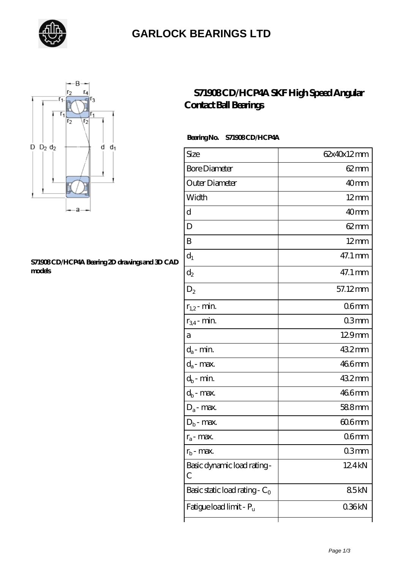

### **[GARLOCK BEARINGS LTD](https://letterstopriests.com)**



#### **[S71908 CD/HCP4A Bearing 2D drawings and 3D CAD](https://letterstopriests.com/pic-935247.html) [models](https://letterstopriests.com/pic-935247.html)**

### **[S71908 CD/HCP4A SKF High Speed Angular](https://letterstopriests.com/skf-bearing/s71908-cd-hcp4a.html) [Contact Ball Bearings](https://letterstopriests.com/skf-bearing/s71908-cd-hcp4a.html)**

### Bearing No. S71908 CD/HCP4A

| Size                             | 62x40x12mm       |
|----------------------------------|------------------|
| <b>Bore Diameter</b>             | $62 \text{mm}$   |
| Outer Diameter                   | 40 <sub>mm</sub> |
| Width                            | $12 \text{mm}$   |
| d                                | 40 <sub>mm</sub> |
| D                                | $62 \text{mm}$   |
| B                                | $12 \text{mm}$   |
| $d_1$                            | 47.1 mm          |
| $\mathrm{d}_2$                   | 47.1 mm          |
| $\mathrm{D}_2$                   | 57.12mm          |
| $r_{1,2}$ - min.                 | 06 <sub>mm</sub> |
| $r_{34}$ - min.                  | 03mm             |
| а                                | 129mm            |
| $d_a$ - min.                     | 432mm            |
| $d_a$ - max.                     | 466mm            |
| $d_b$ - min.                     | 432mm            |
| $d_b$ - max.                     | 466mm            |
| $D_a$ - max.                     | 588mm            |
| $D_b$ - max.                     | $606$ mm         |
| $r_a$ - max.                     | 06 <sub>mm</sub> |
| $r_{\rm b}$ - max.               | 03mm             |
| Basic dynamic load rating-<br>С  | 124kN            |
| Basic static load rating - $C_0$ | 85kN             |
| Fatigue load limit - Pu          | 036kN            |
|                                  |                  |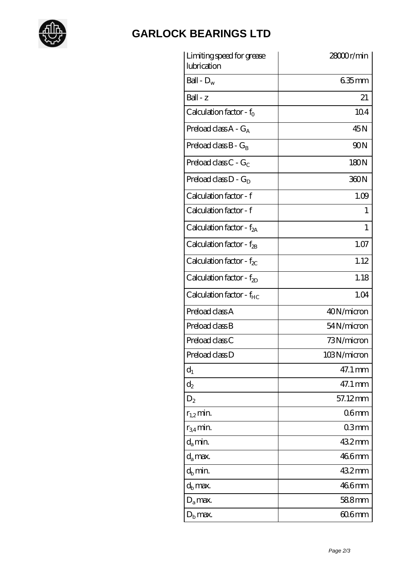

# **[GARLOCK BEARINGS LTD](https://letterstopriests.com)**

| Limiting speed for grease<br>lubrication | 28000r/min       |
|------------------------------------------|------------------|
| Ball - $D_w$                             | $635$ mm         |
| $Ball - z$                               | 21               |
| Calculation factor - $f_0$               | 104              |
| Preload class $A - G_A$                  | 45N              |
| Preload class $B - G_B$                  | 90N              |
| Preload class C - $G_C$                  | 180N             |
| Preload class $D - G_D$                  | 360N             |
| Calculation factor - f                   | 1.09             |
| Calculation factor - f                   | 1                |
| Calculation factor - $f_{2A}$            | 1                |
| Calculation factor - $f_{2B}$            | 1.07             |
| Calculation factor - $f_{\chi}$          | 1.12             |
| Calculation factor - $f_{2D}$            | 1.18             |
| Calculation factor - f <sub>HC</sub>     | 1.04             |
| Preload class A                          | 40N/micron       |
| Preload class B                          | 54N/micron       |
| Preload class C                          | 73N/micron       |
| Preload class D                          | 103N/micron      |
| $d_1$                                    | 47.1 mm          |
| $\mathrm{d}_2$                           | 47.1 mm          |
| $D_2$                                    | 57.12mm          |
| $r_{1,2}$ min.                           | 06 <sub>mm</sub> |
| $r_{34}$ min.                            | 03mm             |
| $d_a$ min.                               | 432mm            |
| $d_a$ max.                               | 466mm            |
| $d_b$ min.                               | 432mm            |
| $d_h$ max.                               | 466mm            |
| $D_a$ max.                               | 588mm            |
| $D_{\rm b}$ max.                         | $606$ mm         |